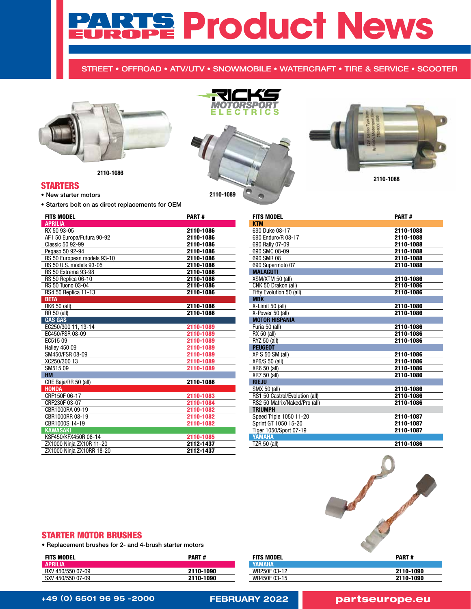# **Product News**

# STREET • OFFROAD • ATV/UTV • SNOWMOBILE • WATERCRAFT • TIRE & SERVICE • SCOOTER



2110-1086

# STARTERS

• New starter motors

• Starters bolt on as direct replacements for OEM

| <b>FITS MODEL</b>           | <b>PART#</b> |
|-----------------------------|--------------|
| <b>APRILIA</b>              |              |
| RX 50 93-05                 | 2110-1086    |
| AF1 50 Europa/Futura 90-92  | 2110-1086    |
| Classic 50 92-99            | 2110-1086    |
| Pegaso 50 92-94             | 2110-1086    |
| RS 50 European models 93-10 | 2110-1086    |
| RS 50 U.S. models 93-05     | 2110-1086    |
| <b>RS 50 Extrema 93-98</b>  | 2110-1086    |
| RS 50 Replica 06-10         | 2110-1086    |
| RS 50 Tuono 03-04           | 2110-1086    |
| RS4 50 Replica 11-13        | 2110-1086    |
| <b>BETA</b>                 |              |
| RK6 50 (all)                | 2110-1086    |
| <b>RR 50 (all)</b>          | 2110-1086    |
| <b>GAS GAS</b>              |              |
| EC250/300 11, 13-14         | 2110-1089    |
| EC450/FSR 08-09             | 2110-1089    |
| EC51509                     | 2110-1089    |
| <b>Halley 450 09</b>        | 2110-1089    |
| SM450/FSR 08-09             | 2110-1089    |
| XC250/300 13                | 2110-1089    |
| SM51509                     | 2110-1089    |
| <b>HM</b>                   |              |
| CRE Baja/RR 50 (all)        | 2110-1086    |
| <b>HONDA</b>                |              |
| CRF150F 06-17               | 2110-1083    |
| CRF230F 03-07               | 2110-1084    |
| CBR1000RA 09-19             | 2110-1082    |
| CBR1000RR 08-19             | 2110-1082    |
| CBR1000S 14-19              | 2110-1082    |
| <b>KAWASAKI</b>             |              |
| KSF450/KFX450R 08-14        | 2110-1085    |
| ZX1000 Ninja ZX10R 11-20    | 2112-1437    |
| ZX1000 Ninja ZX10RR 18-20   | 2112-1437    |
|                             |              |

|           | MOTORSPORT |  |
|-----------|------------|--|
|           |            |  |
|           |            |  |
| 2110-1089 |            |  |

Á



2110-1088

| <b>FITS MODEL</b>              | <b>PART#</b> |
|--------------------------------|--------------|
| <b>KTM</b>                     |              |
| 690 Duke 08-17                 | 2110-1088    |
| 690 Enduro/R 08-17             | 2110-1088    |
| 690 Rally 07-09                | 2110-1088    |
| 690 SMC 08-09                  | 2110-1088    |
| 690 SMR 08                     | 2110-1088    |
| 690 Supermoto 07               | 2110-1088    |
| <b>MALAGUTI</b>                |              |
| XSM/XTM 50 (all)               | 2110-1086    |
| CNK 50 Drakon (all)            | 2110-1086    |
| Fifty Evolution 50 (all)       | 2110-1086    |
| <b>MBK</b>                     |              |
| X-Limit 50 (all)               | 2110-1086    |
| X-Power 50 (all)               | 2110-1086    |
| <b>MOTOR HISPANIA</b>          |              |
| Furia 50 (all)                 | 2110-1086    |
| RX 50 (all)                    | 2110-1086    |
| RYZ 50 (all)                   | 2110-1086    |
| <b>PEUGEOT</b>                 |              |
| XP S 50 SM (all)               | 2110-1086    |
| XP6/S 50 (all)                 | 2110-1086    |
| XR6 50 (all)                   | 2110-1086    |
| XR7 50 (all)                   | 2110-1086    |
| <b>RIEJU</b>                   |              |
| SMX 50 (all)                   | 2110-1086    |
| RS1 50 Castrol/Evolution (all) | 2110-1086    |
| RS2 50 Matrix/Naked/Pro (all)  | 2110-1086    |
| <b>TRIUMPH</b>                 |              |
| Speed Triple 1050 11-20        | 2110-1087    |
| Sprint GT 1050 15-20           | 2110-1087    |
| Tiger 1050/Sport 07-19         | 2110-1087    |
| YAMAHA                         |              |
| TZR 50 (all)                   | 2110-1086    |



# STARTER MOTOR BRUSHES

• Replacement brushes for 2- and 4-brush starter motors

| <b>FITS MODEL</b> | <b>PART#</b> |
|-------------------|--------------|
| <b>APRILIA</b>    |              |
| RXV 450/550 07-09 | 2110-1090    |
| SXV 450/550 07-09 | 2110-1090    |

| <b>FITS MODEL</b> | <b>PART#</b> |
|-------------------|--------------|
| <b>YAMAHA</b>     |              |
| WR250F 03-12      | 2110-1090    |
| WR450F 03-15      | 2110-1090    |
|                   |              |

```
+49 (0) 6501 96 95 -2000 FEBRUARY 2022 partseurope.eu
```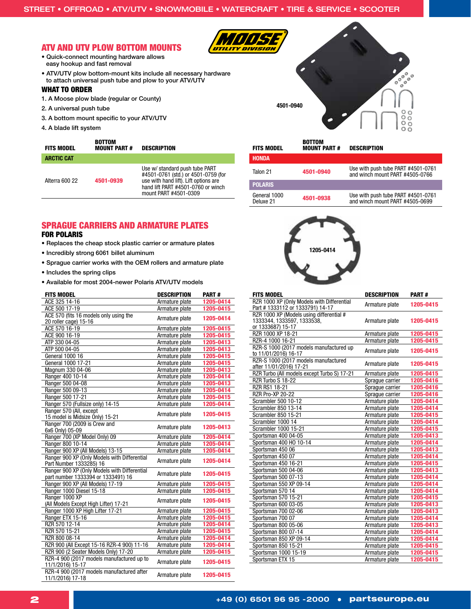# ATV AND UTV PLOW BOTTOM MOUNTS

- 
- Quick-connect mounting hardware allows easy hookup and fast removal
- ATV/UTV plow bottom-mount kits include all necessary hardware to attach universal push tube and plow to your ATV/UTV

### WHAT TO ORDER

- 1. A Moose plow blade (regular or County)
- 2. A universal push tube
- 3. A bottom mount specific to your ATV/UTV

BOTTOM

4. A blade lift system

| <b>ARCTIC CAT</b>           |                                                                                                                                                                               |
|-----------------------------|-------------------------------------------------------------------------------------------------------------------------------------------------------------------------------|
| Alterra 600 22<br>4501-0939 | Use w/ standard push tube PART<br>#4501-0761 (std.) or 4501-0759 (for<br>use with hand lift). Lift options are<br>hand lift PART #4501-0760 or winch<br>mount PART #4501-0309 |

# SPRAGUE CARRIERS AND ARMATURE PLATES FOR POLARIS

- Replaces the cheap stock plastic carrier or armature plates
- Incredibly strong 6061 billet aluminum
- Sprague carrier works with the OEM rollers and armature plate
- Includes the spring clips
- Available for most 2004-newer Polaris ATV/UTV models

| <b>FITS MODEL</b>                                                                  | <b>DESCRIPTION</b> | <b>PART#</b> |
|------------------------------------------------------------------------------------|--------------------|--------------|
| ACE 325 14-16                                                                      | Armature plate     | 1205-0414    |
| ACE 500 17-19                                                                      | Armature plate     | 1205-0415    |
| ACE 570 (fits 16 models only using the<br>20 roller cage) 15-16                    | Armature plate     | 1205-0414    |
| ACE 570 16-19                                                                      | Armature plate     | 1205-0415    |
| ACE 900 16-19                                                                      | Armature plate     | 1205-0415    |
| ATP 330 04-05                                                                      | Armature plate     | 1205-0413    |
| ATP 500 04-05                                                                      | Armature plate     | 1205-0413    |
| <b>General 1000 16</b>                                                             | Armature plate     | 1205-0415    |
| General 1000 17-21                                                                 | Armature plate     | 1205-0415    |
| Magnum 330 04-06                                                                   | Armature plate     | 1205-0413    |
| Ranger 400 10-14                                                                   | Armature plate     | 1205-0414    |
| Ranger 500 04-08                                                                   | Armature plate     | 1205-0413    |
| Ranger 500 09-13                                                                   | Armature plate     | 1205-0414    |
| Ranger 500 17-21                                                                   | Armature plate     | 1205-0415    |
| Ranger 570 (Fullsize only) 14-15                                                   | Armature plate     | 1205-0414    |
| Ranger 570 (All. except<br>15 model is Midsize Only) 15-21                         | Armature plate     | 1205-0415    |
| Ranger 700 (2009 is Crew and<br>6x6 Only) 05-09                                    | Armature plate     | 1205-0413    |
| Ranger 700 (XP Model Only) 09                                                      | Armature plate     | 1205-0414    |
| Ranger 800 10-14                                                                   | Armature plate     | 1205-0414    |
| Ranger 900 XP (All Models) 13-15                                                   | Armature plate     | 1205-0414    |
| Ranger 900 XP (Only Models with Differential<br>Part Number 1333285) 16            | Armature plate     | 1205-0414    |
| Ranger 900 XP (Only Models with Differential<br>part number 1333394 or 1333491) 16 | Armature plate     | 1205-0415    |
| Ranger 900 XP (All Models) 17-19                                                   | Armature plate     | 1205-0415    |
| Ranger 1000 Diesel 15-18                                                           | Armature plate     | 1205-0415    |
| Ranger 1000 XP<br>(All Models Except High Lifter) 17-21                            | Armature plate     | 1205-0415    |
| Ranger 1000 XP High Lifter 17-21                                                   | Armature plate     | 1205-0415    |
| Ranger ETX 15-16                                                                   | Armature plate     | 1205-0415    |
| RZR 570 12-14                                                                      | Armature plate     | 1205-0414    |
| RZR 570 15-21                                                                      | Armature plate     | 1205-0415    |
| RZR 800 08-14                                                                      | Armature plate     | 1205-0414    |
| RZR 900 (All Except 15-16 RZR-4 900) 11-16                                         | Armature plate     | 1205-0414    |
| RZR 900 (2 Seater Models Only) 17-20                                               | Armature plate     | 1205-0415    |
| RZR-4 900 (2017 models manufactured up to<br>11/1/2016) 15-17                      | Armature plate     | 1205-0415    |
| RZR-4 900 (2017 models manufactured after<br>11/1/2016) 17-18                      | Armature plate     | 1205-0415    |

| г         |  |                                                                                      |
|-----------|--|--------------------------------------------------------------------------------------|
| 4501-0940 |  | $\circ\,{\circ\,}^{\circ\circ\,0}_{\circ\,0}\circ$<br>$\frac{0}{0}$<br>$\frac{0}{0}$ |

2

| <b>FITS MODEL</b>         | <b>BOTTOM</b><br><b>MOUNT PART#</b> | <b>DESCRIPTION</b>                                                    |
|---------------------------|-------------------------------------|-----------------------------------------------------------------------|
| <b>HONDA</b>              |                                     |                                                                       |
| Talon 21                  | 4501-0940                           | Use with push tube PART #4501-0761<br>and winch mount PART #4505-0766 |
| <b>POLARIS</b>            |                                     |                                                                       |
| General 1000<br>Deluxe 21 | 4501-0938                           | Use with push tube PART #4501-0761<br>and winch mount PART #4505-0699 |



| <b>FITS MODEL</b>                                                                           | <b>DESCRIPTION</b> | <b>PART#</b> |
|---------------------------------------------------------------------------------------------|--------------------|--------------|
| RZR 1000 XP (Only Models with Differential<br>Part # 1333112 or 1333791) 14-17              | Armature plate     | 1205-0415    |
| RZR 1000 XP (Models using differential #<br>1333344, 1333597, 1333538,<br>or 1333687) 15-17 | Armature plate     | 1205-0415    |
| RZR 1000 XP 18-21                                                                           | Armature plate     | 1205-0415    |
| RZR-4 1000 16-21                                                                            | Armature plate     | 1205-0415    |
| RZR-S 1000 (2017 models manufactured up<br>to 11/01/2016) 16-17                             | Armature plate     | 1205-0415    |
| RZR-S 1000 (2017 models manufactured<br>after 11/01/2016) 17-21                             | Armature plate     | 1205-0415    |
| RZR Turbo (All models except Turbo S) 17-21                                                 | Armature plate     | 1205-0415    |
| RZR Turbo S 18-22                                                                           | Sprague carrier    | 1205-0416    |
| <b>RZR RS1 18-21</b>                                                                        | Spraque carrier    | 1205-0416    |
| <b>RZR Pro-XP 20-22</b>                                                                     | Spraque carrier    | 1205-0416    |
| Scrambler 500 10-12                                                                         | Armature plate     | 1205-0414    |
| Scrambler 850 13-14                                                                         | Armature plate     | 1205-0414    |
| Scrambler 850 15-21                                                                         | Armature plate     | 1205-0415    |
| Scrambler 1000 14                                                                           | Armature plate     | 1205-0414    |
| Scrambler 1000 15-21                                                                        | Armature plate     | 1205-0415    |
| Sportsman 400 04-05                                                                         | Armature plate     | 1205-0413    |
| Sportsman 400 HO 10-14                                                                      | Armature plate     | 1205-0414    |
| Sportsman 450 06                                                                            | Armature plate     | 1205-0413    |
| Sportsman 450 07                                                                            | Armature plate     | 1205-0414    |
| Sportsman 450 16-21                                                                         | Armature plate     | 1205-0415    |
| Sportsman 500 04-06                                                                         | Armature plate     | 1205-0413    |
| Sportsman 500 07-13                                                                         | Armature plate     | 1205-0414    |
| Sportsman 550 XP 09-14                                                                      | Armature plate     | 1205-0414    |
| Sportsman 570 14                                                                            | Armature plate     | 1205-0414    |
| Sportsman 570 15-21                                                                         | Armature plate     | 1205-0415    |
| Sportsman 600 03-05                                                                         | Armature plate     | 1205-0413    |
| Sportsman 700 02-06                                                                         | Armature plate     | 1205-0413    |
| Sportsman 700 07                                                                            | Armature plate     | 1205-0414    |
| Sportsman 800 05-06                                                                         | Armature plate     | 1205-0413    |
| Sportsman 800 07-14                                                                         | Armature plate     | 1205-0414    |
| Sportsman 850 XP 09-14                                                                      | Armature plate     | 1205-0414    |
| Sportsman 850 15-21                                                                         | Armature plate     | 1205-0415    |
| Sportsman 1000 15-19                                                                        | Armature plate     | 1205-0415    |
| Sportsman ETX 15                                                                            | Armature plate     | 1205-0415    |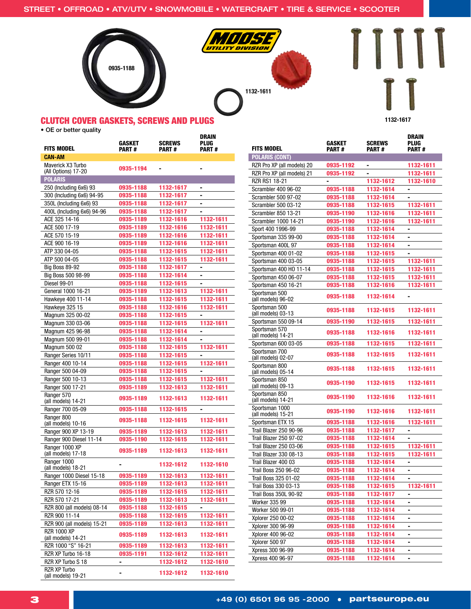

1132-1611

UTILITY DIVISION



# CLUTCH COVER GASKETS, SCREWS AND PLUGS

• OE or better quality

| <b>FITS MODEL</b>                           | GASKET<br><b>PART#</b> | <b>SCREWS</b><br><b>PART#</b> | DRAIN<br>PLUG<br><b>PART#</b> |
|---------------------------------------------|------------------------|-------------------------------|-------------------------------|
| <b>CAN-AM</b>                               |                        |                               |                               |
| Maverick X3 Turbo<br>(All Options) 17-20    | 0935-1194              |                               |                               |
| <b>POLARIS</b>                              |                        |                               |                               |
| 250 (Including 6x6) 93                      | 0935-1188              | 1132-1617                     |                               |
| 300 (Including 6x6) 94-95                   | 0935-1188              | 1132-1617                     | ۰                             |
| 350L (Including 6x6) 93                     | 0935-1188              | 1132-1617                     | ۰                             |
| 400L (Including 6x6) 94-96                  | 0935-1188              | 1132-1617                     | ۰                             |
| ACE 325 14-16                               | 0935-1189              | 1132-1616                     | 1132-1611                     |
| ACE 500 17-19                               | 0935-1189              | 1132-1616                     | 1132-1611                     |
| ACE 570 15-19                               | 0935-1189              | 1132-1616                     | 1132-1611                     |
| ACE 900 16-19                               | 0935-1189              | 1132-1616                     | 1132-1611                     |
| ATP 330 04-05                               | 0935-1188              | 1132-1615                     | 1132-1611                     |
| ATP 500 04-05                               | 0935-1188              | 1132-1615                     | 1132-1611                     |
| <b>Big Boss 89-92</b>                       | 0935-1188              | 1132-1617                     | -                             |
| Big Boss 500 98-99                          | 0935-1188              | 1132-1614                     |                               |
| Diesel 99-01                                | 0935-1188              | 1132-1615                     | ٠                             |
| General 1000 16-21                          | 0935-1189              | 1132-1613                     | 1132-1611                     |
| Hawkeye 400 11-14                           | 0935-1188              | 1132-1615                     | 1132-1611                     |
| Hawkeye 325 15                              | 0935-1188              | 1132-1616                     | 1132-1611                     |
| Magnum 325 00-02                            | 0935-1188              | 1132-1615                     | -                             |
| Magnum 330 03-06<br>Magnum 425 96-98        | 0935-1188<br>0935-1188 | 1132-1615<br>1132-1614        | 1132-1611                     |
| Magnum 500 99-01                            | 0935-1188              | 1132-1614                     |                               |
| <b>Magnum 500 02</b>                        | 0935-1188              | 1132-1615                     | 1132-1611                     |
| Ranger Series 10/11                         | 0935-1188              | 1132-1615                     | -                             |
| Ranger 400 10-14                            | 0935-1188              | 1132-1615                     | 1132-1611                     |
| Ranger 500 04-09                            | 0935-1188              | 1132-1615                     | $\blacksquare$                |
| Ranger 500 10-13                            | 0935-1188              | 1132-1615                     | 1132-1611                     |
| Ranger 500 17-21                            | 0935-1189              | 1132-1613                     | 1132-1611                     |
| Ranger 570<br>(all models) 14-21            | 0935-1189              | 1132-1613                     | 1132-1611                     |
| Ranger 700 05-09                            | 0935-1188              | 1132-1615                     | -                             |
| Ranger 800<br>(all models) 10-16            | 0935-1188              | 1132-1615                     | 1132-1611                     |
| Ranger 900 XP 13-19                         | 0935-1189              | 1132-1613                     | 1132-1611                     |
| Ranger 900 Diesel 11-14                     | 0935-1190              | 1132-1615                     | 1132-1611                     |
| Ranger 1000 XP<br>(all models) 17-18        | 0935-1189              | 1132-1613                     | 1132-1611                     |
| Ranger 1000<br>(all models) 18-21           |                        | 1132-1612                     | 1132-1610                     |
| Ranger 1000 Diesel 15-18                    | 0935-1189              | 1132-1613                     | 1132-1611                     |
| Ranger ETX 15-16                            | 0935-1189              | 1132-1613                     | 1132-1611                     |
| RZR 570 12-16                               | 0935-1189              | 1132-1615                     | 1132-1611                     |
| RZR 570 17-21                               | 0935-1189              | 1132-1613                     | 1132-1611                     |
| RZR 800 (all models) 08-14                  | 0935-1188              | 1132-1615                     |                               |
| RZR 900 11-14<br>RZR 900 (all models) 15-21 | 0935-1188<br>0935-1189 | 1132-1615<br>1132-1613        | 1132-1611<br>1132-1611        |
| <b>RZR 1000 XP</b>                          |                        |                               |                               |
| (all models) 14-21<br>RZR 1000 "S" 16-21    | 0935-1189              | 1132-1613                     | 1132-1611                     |
| RZR XP Turbo 16-18                          | 0935-1189<br>0935-1191 | 1132-1613                     | 1132-1611                     |
| RZR XP Turbo S 18                           |                        | 1132-1612<br>1132-1612        | 1132-1611<br>1132-1610        |
| <b>RZR XP Turbo</b>                         | -<br>-                 | 1132-1612                     | 1132-1610                     |
| (all models) 19-21                          |                        |                               |                               |

| <b>FITS MODEL</b>                    | <b>GASKET</b><br><b>PART#</b> | <b>SCREWS</b><br><b>PART#</b> | DRAIN<br>PLUG<br><b>PART#</b> |
|--------------------------------------|-------------------------------|-------------------------------|-------------------------------|
| <b>POLARIS (CONT)</b>                |                               |                               |                               |
| RZR Pro XP (all models) 20           | 0935-1192                     | -                             | 1132-1611                     |
| RZR Pro XP (all models) 21           | 0935-1192                     | -                             | 1132-1611                     |
| RZR RS1 18-21                        | ٠                             | 1132-1612                     | 1132-1610                     |
| Scrambler 400 96-02                  | 0935-1188                     | 1132-1614                     | ۰                             |
| Scrambler 500 97-02                  | 0935-1188                     | 1132-1614                     | $\blacksquare$                |
| Scrambler 500 03-12                  | 0935-1188                     | 1132-1615                     | 1132-1611                     |
| Scrambler 850 13-21                  | 0935-1190                     | 1132-1616                     | 1132-1611                     |
| Scrambler 1000 14-21                 | 0935-1190                     | 1132-1616                     | 1132-1611                     |
| Sport 400 1996-99                    | 0935-1188                     | 1132-1614                     | ٠                             |
| Sportsman 335 99-00                  | 0935-1188                     | 1132-1614                     |                               |
| Sportsman 400L 97                    | 0935-1188                     | 1132-1614                     | ۰                             |
| Sportsman 400 01-02                  | 0935-1188                     | 1132-1615                     | ٠                             |
| Sportsman 400 03-05                  | 0935-1188                     | 1132-1615                     | 1132-1611                     |
| Sportsman 400 HO 11-14               | 0935-1188                     | 1132-1615                     | 1132-1611                     |
| Sportsman 450 06-07                  | 0935-1188                     | 1132-1615                     | 1132-1611                     |
| Sportsman 450 16-21                  | 0935-1188                     | 1132-1616                     | 1132-1611                     |
| Sportsman 500<br>(all models) 96-02  | 0935-1188                     | 1132-1614                     |                               |
| Sportsman 500<br>(all models) 03-13  | 0935-1188                     | 1132-1615                     | 1132-1611                     |
| Sportsman 550 09-14                  | 0935-1190                     | 1132-1615                     | 1132-1611                     |
| Sportsman 570<br>(all models) 14-21  | 0935-1188                     | 1132-1616                     | 1132-1611                     |
| Sportsman 600 03-05                  | 0935-1188                     | 1132-1615                     | 1132-1611                     |
| Sportsman 700<br>(all models) 02-07  | 0935-1188                     | 1132-1615                     | 1132-1611                     |
| Sportsman 800<br>(all models) 05-14  | 0935-1188                     | 1132-1615                     | 1132-1611                     |
| Sportsman 850<br>(all models) 09-13  | 0935-1190                     | 1132-1615                     | 1132-1611                     |
| Sportsman 850<br>(all models) 14-21  | 0935-1190                     | 1132-1616                     | 1132-1611                     |
| Sportsman 1000<br>(all models) 15-21 | 0935-1190                     | 1132-1616                     | 1132-1611                     |
| Sportsman ETX 15                     | 0935-1188                     | 1132-1616                     | 1132-1611                     |
| Trail Blazer 250 90-96               | 0935-1188                     | 1132-1617                     | $\blacksquare$                |
| <b>Trail Blazer 250 97-02</b>        | 0935-1188                     | 1132-1614                     | -                             |
| Trail Blazer 250 03-06               | 0935-1188                     | 1132-1615                     | 1132-1611                     |
| Trail Blazer 330 08-13               | 0935-1188                     | 1132-1615                     | 1132-1611                     |
| Trail Blazer 400 03                  | 0935-1188                     | 1132-1614                     | $\qquad \qquad \blacksquare$  |
| Trail Boss 250 96-02                 | 0935-1188                     | 1132-1614                     | -                             |
| Trail Boss 325 01-02                 | 0935-1188                     | 1132-1614                     |                               |
| Trail Boss 330 03-13                 | 0935-1188                     | 1132-1615                     | 1132-1611                     |
| Trail Boss 350L 90-92                | 0935-1188                     | 1132-1617                     | ۰                             |
| Worker 335 99                        | 0935-1188                     | 1132-1614                     | ۰                             |
| Worker 500 99-01                     | 0935-1188                     | 1132-1614                     | -                             |
| Xplorer 250 00-02                    | 0935-1188                     | 1132-1614                     | -                             |
| Xplorer 300 96-99                    | 0935-1188                     | 1132-1614                     | ٠                             |
| Xplorer 400 96-02                    | 0935-1188                     | 1132-1614                     | -                             |
| Xplorer 500 97                       | 0935-1188                     | 1132-1614                     | -                             |
| Xpress 300 96-99                     | 0935-1188                     | 1132-1614                     | -                             |
| Xpress 400 96-97                     | 0935-1188                     | 1132-1614                     | ۰                             |